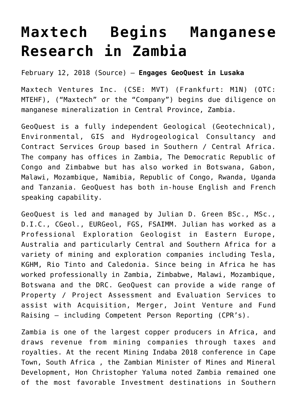## **[Maxtech Begins Manganese](https://investorintel.com/markets/technology-metals/technology-metals-news/maxtech-begins-manganese-research-zambia/) [Research in Zambia](https://investorintel.com/markets/technology-metals/technology-metals-news/maxtech-begins-manganese-research-zambia/)**

February 12, 2018 ([Source\)](https://investorintel.com/iintel-members/maxtech-ventures-inc/) — **Engages GeoQuest in Lusaka**

Maxtech Ventures Inc. (CSE: MVT) (Frankfurt: M1N) (OTC: MTEHF), ("Maxtech" or the "Company") begins due diligence on manganese mineralization in Central Province, Zambia.

GeoQuest is a fully independent Geological (Geotechnical), Environmental, GIS and Hydrogeological Consultancy and Contract Services Group based in Southern / Central Africa. The company has offices in Zambia, The Democratic Republic of Congo and Zimbabwe but has also worked in Botswana, Gabon, Malawi, Mozambique, Namibia, Republic of Congo, Rwanda, Uganda and Tanzania. GeoQuest has both in-house English and French speaking capability.

GeoQuest is led and managed by Julian D. Green BSc., MSc., D.I.C., CGeol., EURGeol, FGS, FSAIMM. Julian has worked as a Professional Exploration Geologist in Eastern Europe, Australia and particularly Central and Southern Africa for a variety of mining and exploration companies including Tesla, KGHM, Rio Tinto and Caledonia. Since being in Africa he has worked professionally in Zambia, Zimbabwe, Malawi, Mozambique, Botswana and the DRC. GeoQuest can provide a wide range of Property / Project Assessment and Evaluation Services to assist with Acquisition, Merger, Joint Venture and Fund Raising – including Competent Person Reporting (CPR's).

Zambia is one of the largest copper producers in Africa, and draws revenue from mining companies through taxes and royalties. At the recent Mining Indaba 2018 conference in Cape Town, South Africa , the Zambian Minister of Mines and Mineral Development, Hon Christopher Yaluma noted Zambia remained one of the most favorable Investment destinations in Southern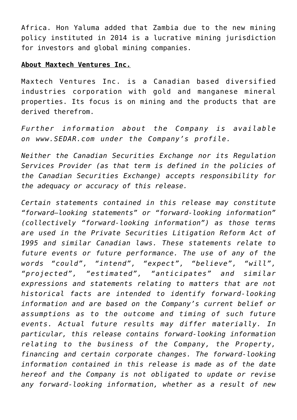Africa. Hon Yaluma added that Zambia due to the new mining policy instituted in 2014 is a lucrative mining jurisdiction for investors and global mining companies.

## **About Maxtech Ventures Inc.**

Maxtech Ventures Inc. is a Canadian based diversified industries corporation with gold and manganese mineral properties. Its focus is on mining and the products that are derived therefrom.

*Further information about the Company is available on [www.SEDAR.com](http://www.sedar.com/) under the Company's profile.*

*Neither the Canadian Securities Exchange nor its Regulation Services Provider (as that term is defined in the policies of the Canadian Securities Exchange) accepts responsibility for the adequacy or accuracy of this release.*

*Certain statements contained in this release may constitute "forward–looking statements" or "forward-looking information" (collectively "forward-looking information") as those terms are used in the Private Securities Litigation Reform Act of 1995 and similar Canadian laws. These statements relate to future events or future performance. The use of any of the words "could", "intend", "expect", "believe", "will", "projected", "estimated", "anticipates" and similar expressions and statements relating to matters that are not historical facts are intended to identify forward-looking information and are based on the Company's current belief or assumptions as to the outcome and timing of such future events. Actual future results may differ materially. In particular, this release contains forward-looking information relating to the business of the Company, the Property, financing and certain corporate changes. The forward-looking information contained in this release is made as of the date hereof and the Company is not obligated to update or revise any forward-looking information, whether as a result of new*